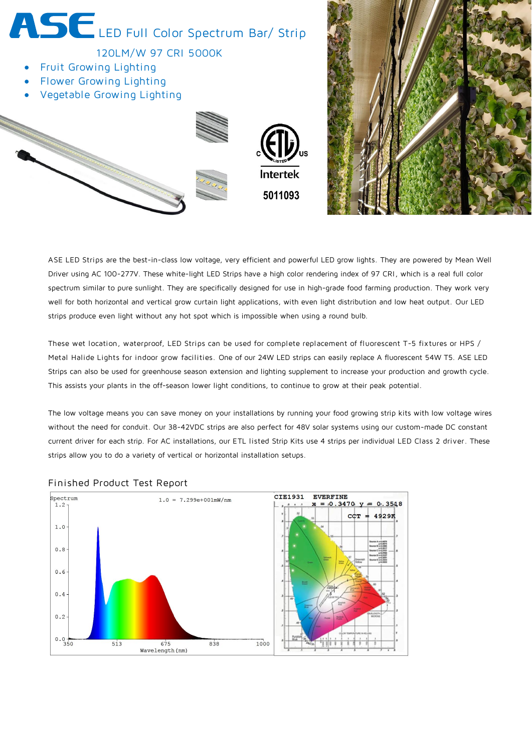

ASE LED Strips are the best-in-class low voltage, very efficient and powerful LED grow lights. They are powered by Mean Well Driver using AC 100-277V. These white-light LED Strips have a high color rendering index of 97 CRI, which is a real full color spectrum similar to pure sunlight. They are specifically designed for use in high-grade food farming production. They work very well for both horizontal and vertical grow curtain light applications, with even light distribution and low heat output. Our LED strips produce even light without any hot spot which is impossible when using a round bulb.

These wet location, waterproof, LED Strips can be used for complete replacement of fluorescent T-5 fixtures or HPS / Metal Halide Lights for indoor grow facilities. One of our 24W LED strips can easily replace A fluorescent 54W T5. ASE LED Strips can also be used for greenhouse season extension and lighting supplement to increase your production and growth cycle. This assists your plants in the off-season lower light conditions, to continue to grow at their peak potential.

The low voltage means you can save money on your installations by running your food growing strip kits with low voltage wires without the need for conduit. Our 38-42VDC strips are also perfect for 48V solar systems using our custom-made DC constant current driver for each strip. For AC installations, our ETL listed Strip Kits use 4 strips per individual LED Class 2 driver. These strips allow you to do a variety of vertical or horizontal installation setups.



## Finished Product Test Report